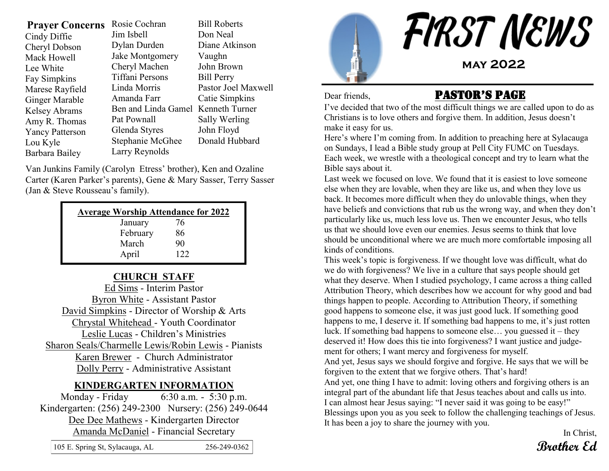| <b>Prayer Concerns</b> | Rosie Cochran                      | <b>Bill Roberts</b> |  |
|------------------------|------------------------------------|---------------------|--|
| Cindy Diffie           | Jim Isbell                         | Don Neal            |  |
| Cheryl Dobson          | Dylan Durden                       | Diane Atkinson      |  |
| Mack Howell            | Jake Montgomery                    | Vaughn              |  |
| Lee White              | Cheryl Machen                      | John Brown          |  |
| <b>Fay Simpkins</b>    | Tiffani Persons                    | <b>Bill Perry</b>   |  |
| Marese Rayfield        | Linda Morris                       | Pastor Joel Maxwell |  |
| Ginger Marable         | Amanda Farr                        | Catie Simpkins      |  |
| <b>Kelsey Abrams</b>   | Ben and Linda Gamel Kenneth Turner |                     |  |
| Amy R. Thomas          | Pat Pownall                        | Sally Werling       |  |
| <b>Yancy Patterson</b> | Glenda Styres                      | John Floyd          |  |
| Lou Kyle               | Stephanie McGhee                   | Donald Hubbard      |  |
| Barbara Bailey         | Larry Reynolds                     |                     |  |

Van Junkins Family (Carolyn Etress' brother), Ken and Ozaline Carter (Karen Parker's parents), Gene & Mary Sasser, Terry Sasser (Jan & Steve Rousseau's family).

| <b>Average Worship Attendance for 2022</b> |     |  |  |  |  |  |
|--------------------------------------------|-----|--|--|--|--|--|
| January                                    | 76  |  |  |  |  |  |
| February                                   | 86  |  |  |  |  |  |
| March                                      | 90  |  |  |  |  |  |
| April                                      | 122 |  |  |  |  |  |

#### **CHURCH STAFF**

Ed Sims - Interim Pastor Byron White - Assistant Pastor David Simpkins - Director of Worship & Arts Chrystal Whitehead - Youth Coordinator Leslie Lucas - Children's Ministries Sharon Seals/Charmelle Lewis/Robin Lewis - Pianists Karen Brewer - Church Administrator Dolly Perry - Administrative Assistant

#### **KINDERGARTEN INFORMATION**

Monday - Friday 6:30 a.m. - 5:30 p.m. Kindergarten: (256) 249-2300 Nursery: (256) 249-0644 Dee Dee Mathews - Kindergarten Director Amanda McDaniel - Financial Secretary

|        | else when they are lovable, where |
|--------|-----------------------------------|
|        | back. It becomes more difficul    |
| r 2022 | have beliefs and convictions the  |
|        | particularly like us, much less   |
|        | us that we should love even ou    |
|        | should be unconditional where     |

love us. Then we encounter Jesus, who tells ur enemies. Jesus seems to think that love we are much more comfortable imposing all This week's topic is forgiveness. If we thought love was difficult, what do we do with forgiveness? We live in a culture that says people should get what they deserve. When I studied psychology, I came across a thing called Attribution Theory, which describes how we account for why good and bad things happen to people. According to Attribution Theory, if something good happens to someone else, it was just good luck. If something good happens to me, I deserve it. If something bad happens to me, it's just rotten luck. If something bad happens to someone else… you guessed it – they

deserved it! How does this tie into forgiveness? I want justice and judgement for others; I want mercy and forgiveness for myself.

And yet, Jesus says we should forgive and forgive. He says that we will be forgiven to the extent that we forgive others. That's hard!

And yet, one thing I have to admit: loving others and forgiving others is an integral part of the abundant life that Jesus teaches about and calls us into. I can almost hear Jesus saying: "I never said it was going to be easy!" Blessings upon you as you seek to follow the challenging teachings of Jesus. It has been a joy to share the journey with you.

> In Christ, **Brother Ed**

| 105 E. Spring St, Sylacauga, AL | 256-249-0362 |
|---------------------------------|--------------|
|---------------------------------|--------------|

# Dear friends, **PASTOR'S PAGE**

I've decided that two of the most difficult things we are called upon to do as Christians is to love others and forgive them. In addition, Jesus doesn't make it easy for us.

Here's where I'm coming from. In addition to preaching here at Sylacauga on Sundays, I lead a Bible study group at Pell City FUMC on Tuesdays. Each week, we wrestle with a theological concept and try to learn what the Bible says about it.

Last week we focused on love. We found that it is easiest to love someone hen they are like us, and when they love us It when they do unlovable things, when they hat rub us the wrong way, and when they don't kinds of conditions.

FIRST NEWS **may 2022**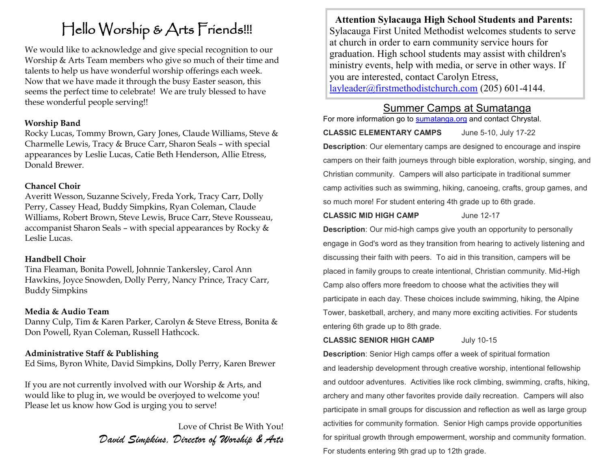# Hello Worship & Arts Friends!!!

We would like to acknowledge and give special recognition to our Worship & Arts Team members who give so much of their time and talents to help us have wonderful worship offerings each week. Now that we have made it through the busy Easter season, this seems the perfect time to celebrate! We are truly blessed to have these wonderful people serving!!

#### **Worship Band**

Rocky Lucas, Tommy Brown, Gary Jones, Claude Williams, Steve & Charmelle Lewis, Tracy & Bruce Carr, Sharon Seals – with special appearances by Leslie Lucas, Catie Beth Henderson, Allie Etress, Donald Brewer.

#### **Chancel Choir**

Averitt Wesson, Suzanne Scively, Freda York, Tracy Carr, Dolly Perry, Cassey Head, Buddy Simpkins, Ryan Coleman, Claude Williams, Robert Brown, Steve Lewis, Bruce Carr, Steve Rousseau, accompanist Sharon Seals – with special appearances by Rocky & Leslie Lucas.

#### **Handbell Choir**

Tina Fleaman, Bonita Powell, Johnnie Tankersley, Carol Ann Hawkins, Joyce Snowden, Dolly Perry, Nancy Prince, Tracy Carr, Buddy Simpkins

#### **Media & Audio Team**

Danny Culp, Tim & Karen Parker, Carolyn & Steve Etress, Bonita & Don Powell, Ryan Coleman, Russell Hathcock.

#### **Administrative Staff & Publishing**

Ed Sims, Byron White, David Simpkins, Dolly Perry, Karen Brewer

If you are not currently involved with our Worship & Arts, and would like to plug in, we would be overjoyed to welcome you! Please let us know how God is urging you to serve!

> Love of Christ Be With You! *David Simpkins, Director of Worship & Arts*

**Attention Sylacauga High School Students and Parents:** Sylacauga First United Methodist welcomes students to serve at church in order to earn community service hours for graduation. High school students may assist with children's ministry events, help with media, or serve in other ways. If you are interested, contact Carolyn Etress, [layleader@firstmethodistchurch.com](mailto:layleader@firstmethodistchurch.com) (205) 601-4144.

### Summer Camps at Sumatanga

For more information go to [sumatanga.org](http://sumatanga.org) and contact Chrystal.

**CLASSIC ELEMENTARY CAMPS** June 5-10, July 17-22 **Description**: Our elementary camps are designed to encourage and inspire campers on their faith journeys through bible exploration, worship, singing, and Christian community. Campers will also participate in traditional summer camp activities such as swimming, hiking, canoeing, crafts, group games, and so much more! For student entering 4th grade up to 6th grade.

**CLASSIC MID HIGH CAMP** June 12-17

**Description**: Our mid-high camps give youth an opportunity to personally engage in God's word as they transition from hearing to actively listening and discussing their faith with peers. To aid in this transition, campers will be placed in family groups to create intentional, Christian community. Mid-High Camp also offers more freedom to choose what the activities they will participate in each day. These choices include swimming, hiking, the Alpine Tower, basketball, archery, and many more exciting activities. For students entering 6th grade up to 8th grade.

**CLASSIC SENIOR HIGH CAMP** July 10-15

**Description**: Senior High camps offer a week of spiritual formation and leadership development through creative worship, intentional fellowship and outdoor adventures. Activities like rock climbing, swimming, crafts, hiking, archery and many other favorites provide daily recreation. Campers will also participate in small groups for discussion and reflection as well as large group activities for community formation. Senior High camps provide opportunities for spiritual growth through empowerment, worship and community formation. For students entering 9th grad up to 12th grade.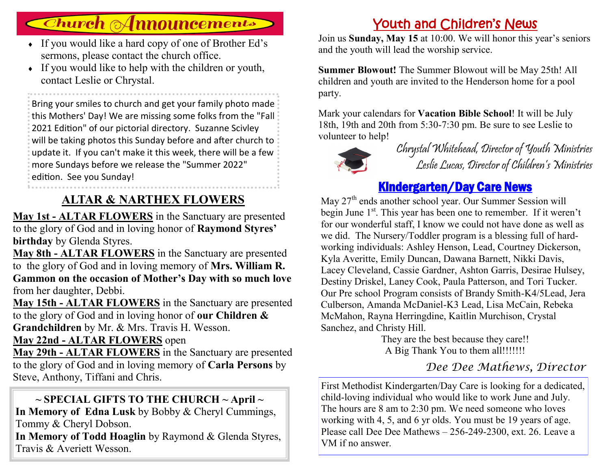# **Church Announcements**

- If you would like a hard copy of one of Brother Ed's sermons, please contact the church office.
- $\bullet$  If you would like to help with the children or youth, contact Leslie or Chrystal.

Bring your smiles to church and get your family photo made this Mothers' Day! We are missing some folks from the "Fall 2021 Edition" of our pictorial directory. Suzanne Scivley will be taking photos this Sunday before and after church to update it. If you can't make it this week, there will be a few more Sundays before we release the "Summer 2022" edition. See you Sunday!

# **ALTAR & NARTHEX FLOWERS**

**May 1st - ALTAR FLOWERS** in the Sanctuary are presented to the glory of God and in loving honor of **Raymond Styres' birthday** by Glenda Styres.

**May 8th - ALTAR FLOWERS** in the Sanctuary are presented to the glory of God and in loving memory of **Mrs. William R. Gammon on the occasion of Mother's Day with so much love**  from her daughter, Debbi.

**May 15th - ALTAR FLOWERS** in the Sanctuary are presented to the glory of God and in loving honor of **our Children & Grandchildren** by Mr. & Mrs. Travis H. Wesson.

### **May 22nd - ALTAR FLOWERS** open

**May 29th - ALTAR FLOWERS** in the Sanctuary are presented to the glory of God and in loving memory of **Carla Persons** by Steve, Anthony, Tiffani and Chris.

### **~ SPECIAL GIFTS TO THE CHURCH ~ April ~**

**In Memory of Edna Lusk** by Bobby & Cheryl Cummings, Tommy & Cheryl Dobson.

**In Memory of Todd Hoaglin** by Raymond & Glenda Styres, Travis & Averiett Wesson.

# Youth and Children's News

Join us **Sunday, May 15** at 10:00. We will honor this year's seniors and the youth will lead the worship service.

**Summer Blowout!** The Summer Blowout will be May 25th! All children and youth are invited to the Henderson home for a pool party.

Mark your calendars for **Vacation Bible School**! It will be July 18th, 19th and 20th from 5:30-7:30 pm. Be sure to see Leslie to volunteer to help!



Chrystal Whitehead, Director of Youth Ministries Leslie Lucas, Director of Children's Ministries

# Kindergarten/Day Care News

May 27<sup>th</sup> ends another school year. Our Summer Session will begin June 1<sup>st</sup>. This year has been one to remember. If it weren't for our wonderful staff, I know we could not have done as well as we did. The Nursery/Toddler program is a blessing full of hardworking individuals: Ashley Henson, Lead, Courtney Dickerson, Kyla Averitte, Emily Duncan, Dawana Barnett, Nikki Davis, Lacey Cleveland, Cassie Gardner, Ashton Garris, Desirae Hulsey, Destiny Driskel, Laney Cook, Paula Patterson, and Tori Tucker. Our Pre school Program consists of Brandy Smith-K4/5Lead, Jera Culberson, Amanda McDaniel-K3 Lead, Lisa McCain, Rebeka McMahon, Rayna Herringdine, Kaitlin Murchison, Crystal Sanchez, and Christy Hill.

They are the best because they care!! A Big Thank You to them all!!!!!!!!

## *Dee Dee Mathews, Director*

First Methodist Kindergarten/Day Care is looking for a dedicated, child-loving individual who would like to work June and July. The hours are 8 am to 2:30 pm. We need someone who loves working with 4, 5, and 6 yr olds. You must be 19 years of age. Please call Dee Dee Mathews – 256-249-2300, ext. 26. Leave a VM if no answer.